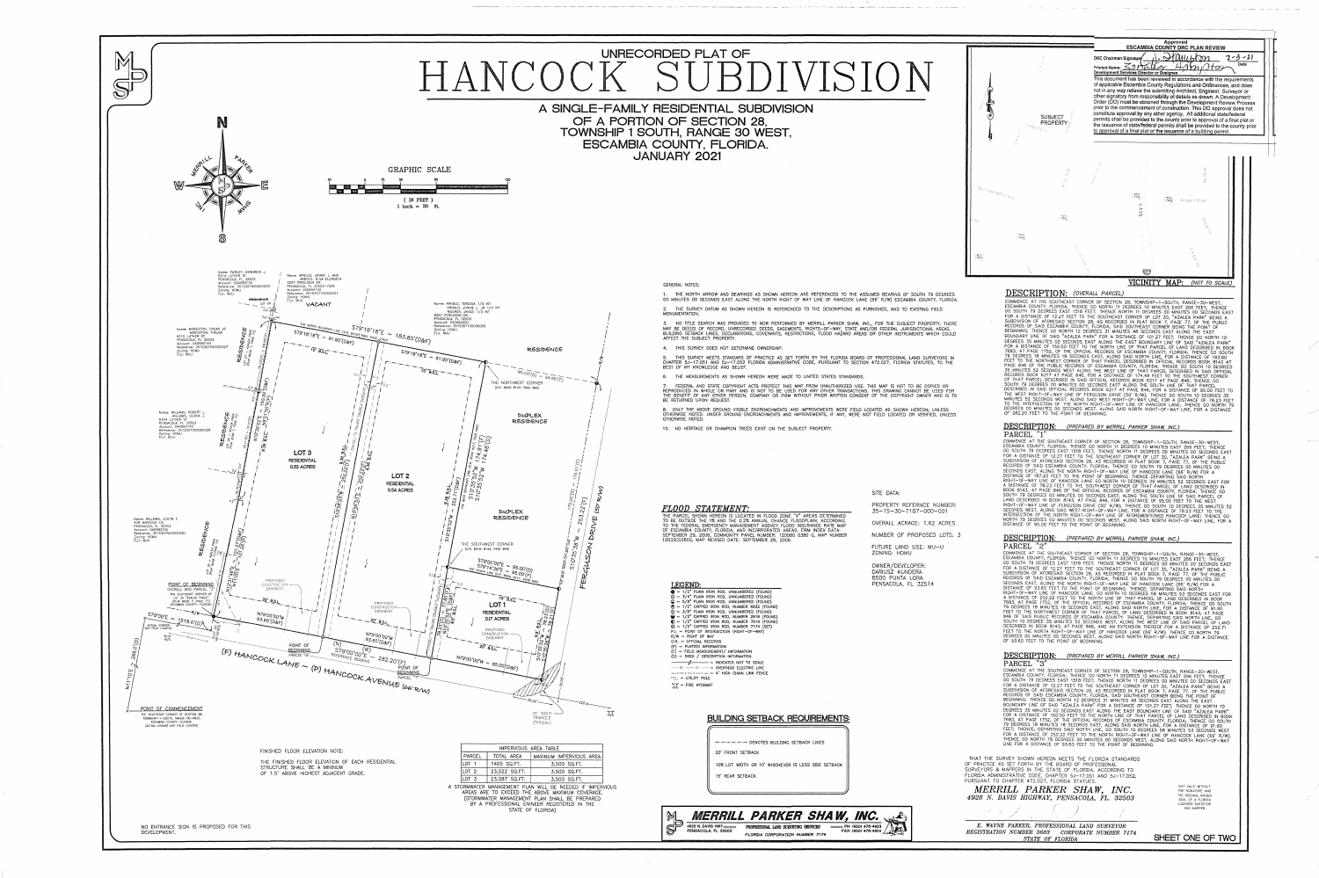

## UNRECORDED PLAT OF HANCOCK SUBDIVISION

A SINGLE-FAMILY RESIDENTIAL SUBDIVISION OF A PORTION OF SECTION 28,<br>TOWNSHIP 1 SOUTH, RANGE 30 WEST, ESCAMBIA COUNTY, FLORIDA. JANUARY 2021

GENERAL NOTES:

1. THE NORTH ARROW AND BEARINGS AS SHOWN HEREON ARE REFERENCED TO THE ASSUMED BEARING OF SOUTH 00 MINUTES 00 SECONDS EAST ALONG THE NORTH RIGHT OF WAY LINE OF HANCOCK LANE (66' R/W) ESCAMBIA CO 2. THE SURVEY DATUM AS SHOWN HEREON IS REFERENCED TO THE DESCRIPTIONS AS FURNISHED, AND TO EXISTIN MONUMENTATION.

3. NO TITLE SEARCH WAS PROVIDED TO NOR PERFORMED BY MERRILL PARKER SHAW, INC., FOR THE SUBJECT PRO MAY BE DEEDS OF RECORD, UNRECORDED DEEDS, EASEMENTS, RIGHTS-OF-WAY, STATE AND/OR FEDERAL JURISDICTIC BUILDING SETBACK LINES, DECLARATIONS, COVENANTS, RESTRICTIONS, FLOOD HAZARD AREAS OR OTHER INSTRUMENTS AFFECT THE SUBJECT PROPERTY. 4. THIS SURVEY DOES NOT DETERMINE OWNERSHIP.

5. THIS SURVEY MEETS STANDARS OF PRACTICE AS SET FORTH BY THE FLORIDA BOARD OF PROFESSIONAL LAND S<br>CHAPTER 5J-17.051 AND 5J-17.052 FLORIDA ADMINISTRATIVE CODE, PURSUANT TO SECTION 472.027, FLORIDA STATU BEST OF MY KNOWLEDGE AND BELIEF.

6. THE MEASUREMENTS AS SHOWN HEREON WERE MADE TO UNITED STATES STANDARDS.

7. FEDERAL AND STATE COPYRIGHT ACTS PROTECT THIS MAP FROM UNAUTHORIZED USE. THIS MAP IS NOT TO BE (<br>REPRODUCED IN WHOLE OR PART AND IS NOT TO BE USED FOR ANY OTHER TRANSACTIONS. THIS DRAWING CANNOT B<br>THE BENEFIT OF ANY OTH BE RETURNED UPON REQUEST.

8. ONLY THE ABOVE GROUND VISIBLE ENCROACHMENTS AND IMPROVEMENTS WERE FIELD LOCATED AS SHOWN HEREO OTHERWISE NOTED. UNDER GROUND ENCROACHMENTS AND IMPROVEMENTS, IF ANY, WERE NOT FIELD LOCATED OR VER OTHERWISE NOTED.

10. NO HERITAGE OR CHAMPION TREES EXIST ON THE SUBJECT PROPERTY.



SITE DATA:

PROPERTY REFERNC  $35 - 15 - 30 - 7107 - 6$ OVERALL ACRAGE:

NUMBER OF PROPO

FUTURE LAND USE: ZONING: HDMU

OWNER/DEVELOPER: DARIUSZ KUNDERA 8500 PUNTA LORA PENSACOLA, FL 325

|                  | IMPERVIOUS AREA TABLE |                                                                                                      |
|------------------|-----------------------|------------------------------------------------------------------------------------------------------|
| <b>PARCEL</b>    | TOTAL AREA            | MAXIMUM IMPERVIOUS AREA                                                                              |
| LOT <sub>1</sub> | 7405 SQ.FT.           | 3,000 SQ.FT.                                                                                         |
| LOT <sub>2</sub> | 23,522 SQ.FT.         | 3,500 SQ.FT.                                                                                         |
| LOT 3            | 23,087 SQ.FT.         | 3,500 SQ.FT.                                                                                         |
|                  |                       | ORMWATER MANAGEMENT PLAN WILL BE NEEDED IF IMPERVI<br>AREAS ARE TO EXCEED THE AROVE MAYIMUM COVERAGE |



## **BUILDING SETBACK REQUIREMENTS:**

---------- DENOTES BUILDING SETBACK LINES 20' FRONT SETBACK 10% LOT WIDTH OR 10' WHICHEVER IS LESS SIDE SETBACK

15' REAR SETBACK



|                                             |                                              |                                                                                                                                                                                                                                                                              |                                                    |                                                         |                                                                                                                                                                                                                      |                                     | <b>ESCAMBIA COUNTY DRC PLAN REVIEW</b>                        |                |
|---------------------------------------------|----------------------------------------------|------------------------------------------------------------------------------------------------------------------------------------------------------------------------------------------------------------------------------------------------------------------------------|----------------------------------------------------|---------------------------------------------------------|----------------------------------------------------------------------------------------------------------------------------------------------------------------------------------------------------------------------|-------------------------------------|---------------------------------------------------------------|----------------|
|                                             |                                              |                                                                                                                                                                                                                                                                              |                                                    | <b>DRC Chairman Signature</b><br>Printed Name: $\leq$ 2 |                                                                                                                                                                                                                      |                                     |                                                               | 7-3-21<br>Date |
|                                             |                                              |                                                                                                                                                                                                                                                                              |                                                    |                                                         | Development Services Director or Designee<br>This document has been reviewed in accordance with the requirements                                                                                                     |                                     |                                                               |                |
|                                             |                                              |                                                                                                                                                                                                                                                                              |                                                    |                                                         | of applicable Escambia County Regulations and Ordinances, and does<br>not in any way relieve the submitting Architect, Engineer, Surveyor or                                                                         |                                     |                                                               |                |
|                                             |                                              |                                                                                                                                                                                                                                                                              |                                                    |                                                         | other signatory from responsibility of details as drawn. A Development<br>Order (DO) must be obtained through the Development Review Process<br>prior to the commencement of construction. This DO approval does not |                                     |                                                               |                |
|                                             |                                              |                                                                                                                                                                                                                                                                              | <b>SUBJECT</b>                                     |                                                         | constitute approval by any other agency. All additional state/federal<br>permits shall be provided to the county prior to approval of a final plat or                                                                |                                     |                                                               |                |
|                                             |                                              | <b>ManCock Inc.</b>                                                                                                                                                                                                                                                          | <b>PROPERTY</b>                                    |                                                         | the issuance of state/federal permits shall be provided to the county prior<br>to approval of a final plat or the issuance of a building permit.                                                                     |                                     |                                                               |                |
|                                             |                                              |                                                                                                                                                                                                                                                                              |                                                    |                                                         |                                                                                                                                                                                                                      |                                     |                                                               |                |
|                                             |                                              |                                                                                                                                                                                                                                                                              |                                                    |                                                         |                                                                                                                                                                                                                      |                                     |                                                               |                |
|                                             |                                              |                                                                                                                                                                                                                                                                              |                                                    |                                                         |                                                                                                                                                                                                                      |                                     |                                                               |                |
|                                             |                                              |                                                                                                                                                                                                                                                                              |                                                    |                                                         |                                                                                                                                                                                                                      |                                     |                                                               |                |
|                                             | Såert Begedirt $\mathbf{z}_{\mathbf{r}_\xi}$ |                                                                                                                                                                                                                                                                              |                                                    |                                                         | 750                                                                                                                                                                                                                  | $\widetilde{\mathcal{P}}^{(0)}_{2}$ |                                                               |                |
|                                             |                                              |                                                                                                                                                                                                                                                                              |                                                    |                                                         |                                                                                                                                                                                                                      |                                     | Airpoit Bivd                                                  |                |
| $\langle \varepsilon_{\ell} \rangle$        |                                              |                                                                                                                                                                                                                                                                              | $ \widetilde{\mathcal{P}}_{\mathbf{S}\mathbf{G}} $ |                                                         |                                                                                                                                                                                                                      |                                     |                                                               |                |
|                                             |                                              | $ \vec{rs_0} $                                                                                                                                                                                                                                                               |                                                    |                                                         |                                                                                                                                                                                                                      |                                     |                                                               |                |
|                                             |                                              |                                                                                                                                                                                                                                                                              |                                                    |                                                         |                                                                                                                                                                                                                      |                                     |                                                               |                |
|                                             | Tš0ļ                                         | 悦                                                                                                                                                                                                                                                                            |                                                    |                                                         |                                                                                                                                                                                                                      |                                     |                                                               |                |
|                                             |                                              |                                                                                                                                                                                                                                                                              |                                                    |                                                         | T,                                                                                                                                                                                                                   |                                     |                                                               |                |
| 179 DEGREES                                 |                                              | DESCRIPTION: (OVERALL PARCEL)                                                                                                                                                                                                                                                |                                                    |                                                         | VICINITY MAP:                                                                                                                                                                                                        |                                     | (NOT TO SCALE)                                                |                |
| UNTY, FLORIDA.                              |                                              | COMMENCE AT THE SOUTHEAST CORNER OF SECTION 28, TOWNSHIP-1-SOUTH, RANGE-30-WEST,<br>ESCAMBIA COUNTY, FLORIDA; THENCE GO NORTH 11 DEGREES 10 MINUTES EAST 266 FEET; THENCE                                                                                                    |                                                    |                                                         |                                                                                                                                                                                                                      |                                     |                                                               |                |
|                                             | $\mathcal{T}$                                | GO SOUTH 79 DEGREES EAST 1518 FEET; THENCE NORTH 11 DEGREES 00 MINUTES 00 SECONDS EAST<br>FOR A DISTANCE OF 12.27 FEET TO THE SOUTHEAST CORNER OF LOT 30, "AZALEA PARK" BEING A<br>SUBDIVISION OF AFORESAID SECTION 28, AS RECORDED IN PLAT BOOK 7, PAGE 77, OF THE PUBLIC   |                                                    |                                                         |                                                                                                                                                                                                                      |                                     |                                                               |                |
| OPERTY, THERE<br>ONAL AREAS.<br>WHICH COULD |                                              | RECORDS OF SAID ESCAMBIA COUNTY, FLORIDA, SAID SOUTHEAST CORNER BEING THE POINT OF<br>BEGINNING; THENCE GO NORTH 12 DEGREES 31 MINUTES 48 SECONDS EAST ALONG THE EAST                                                                                                        |                                                    |                                                         |                                                                                                                                                                                                                      |                                     |                                                               |                |
|                                             |                                              | BOUNDARY LINE OF SAID "AZALEA PARK" FOR A DISTANCE OF 101.27 FEET; THENCE GO NORTH 10<br>DEGREES 35 MINUTES 02 SECONDS EAST ALONG THE EAST BOUNDARY LINE OF SAID "AZALEA PARK"<br>FOR A DISTANCE OF 150.50 FEET TO THE NORTH LINE OF THAT PARCEL OF LAND DESCRIBED IN BOOK   |                                                    |                                                         |                                                                                                                                                                                                                      |                                     |                                                               |                |
| SURVEYORS IN<br>JTES, TO THE                |                                              | 7683, AT PAGE 1752, OF THE OFFICIAL RECORDS OF ESCAMBIA COUNTY, FLORIDA; THENCE GO SOUTH<br>79 DEGREES 18 MINUTES 18 SECONDS EAST, ALONG SAID NORTH LINE, FOR A DISTANCE OF 183.80<br>FEET TO THE NORTHWEST CORNER OF THAT PARCEL DESCRIBED IN OFFICIAL RECORDS BOOK 8143 AT |                                                    |                                                         |                                                                                                                                                                                                                      |                                     |                                                               |                |
|                                             |                                              | PAGE 846 OF THE PUBLIC RECORDS OF ESCAMBIA COUNTY, FLORIDA; THENCE GO SOUTH 10 DEGREES<br>35 MINUTES 52 SECONDS WEST ALONG THE WEST LINE OF THAT PARCEL DESCRIBED IN SAID OFFICIAL<br>RECORDS BOOK 6217 AT PAGE 846, FOR A DISTANCE OF 174.48 FEET TO THE SOUTHWEST CORNER   |                                                    |                                                         |                                                                                                                                                                                                                      |                                     |                                                               |                |
|                                             |                                              | OF THAT PARCEL DESCRIBED IN SAID OFFICIAL RECORDS BOOK 6217 AT PAGE 846; THENCE GO<br>SOUTH 79 DEGREES OO MINUTES OO SECONDS EAST ALONG THE SOUTH LINE OF THAT PARCEL<br>DESCRIBED IN SAID OFFICIAL RECORDS BOOK 6217 AT PAGE 846, FOR A DISTANCE OF 95.00 FEET TO           |                                                    |                                                         |                                                                                                                                                                                                                      |                                     |                                                               |                |
| BE USED FOR<br>VER AND IS TO                |                                              | THE WEST RIGHT-OF-WAY LINE OF FERGUSON DRIVE (50' R/W); THENCE GO SOUTH 10 DEGREES 35<br>MINUTES 52 SECONDS WEST, ALONG SAID WEST RIGHT-OF-WAY LINE, FOR A DISTANCE OF 78.23 FEET                                                                                            |                                                    |                                                         |                                                                                                                                                                                                                      |                                     |                                                               |                |
| RIFIED, UNLESS                              |                                              | TO THE INTERSECTION OF THE NORTH RIGHT-OF-WAY LINE OF HANCOCK LANE; THENCE GO NORTH 79<br>DEGREES OO MINUTES OO SECONDS WEST, ALONG SAID NORTH RIGHT-OF-WAY LINE, FOR A DISTANCE<br>OF 282.20 FEET TO THE POINT OF BEGINNING.                                                |                                                    |                                                         |                                                                                                                                                                                                                      |                                     |                                                               |                |
|                                             |                                              | DESCRIPTION:                                                                                                                                                                                                                                                                 |                                                    |                                                         | (PREPARED BY MERRILL PARKER SHAW, INC.)                                                                                                                                                                              |                                     |                                                               |                |
|                                             |                                              | PARCEL "1"<br>COMMENCE AT THE SOUTHEAST CORNER OF SECTION 28, TOWNSHIP-1-SOUTH, RANGE-30-WEST,                                                                                                                                                                               |                                                    |                                                         |                                                                                                                                                                                                                      |                                     |                                                               |                |
|                                             |                                              | ESCAMBIA COUNTY, FLORIDA; THENCE GO NORTH 11 DEGREES 10 MINUTES EAST 266 FEET; THENCE<br>GO SOUTH 79 DEGREES EAST 1518 FEET; THENCE NORTH 11 DEGREES 00 MINUTES 00 SECONDS EAST<br>FOR A DISTANCE OF 12.27 FEET TO THE SOUTHEAST CORNER OF LOT 30, "AZALEA PARK" BEING A     |                                                    |                                                         |                                                                                                                                                                                                                      |                                     |                                                               |                |
|                                             |                                              | SUBDIVISION OF AFORESAID SECTION 28, AS RECORDED IN PLAT BOOK 7, PAGE 77, OF THE PUBLIC<br>RECORDS OF SAID ESCAMBIA COUNTY, FLORIDA; THENCE GO SOUTH 79 DEGREES OO MINUTES OO<br>SECONDS EAST, ALONG THE NORTH RIGHT-OF-WAY LINE OF HANCOCK LANE (66' R/W) FOR A             |                                                    |                                                         |                                                                                                                                                                                                                      |                                     |                                                               |                |
|                                             |                                              | DISTANCE OF 187.20 FEET TO THE POINT OF BEGINNING; THENCE DEPARTING SAID NORTH<br>RIGHT-OF-WAY LINE OF HANCOCK LANE GO NORTH 10 DEGREES 35 MINUTES 52 SECONDS EAST FOR                                                                                                       |                                                    |                                                         |                                                                                                                                                                                                                      |                                     |                                                               |                |
|                                             |                                              | A DISTANCE OF 78.23 FEET TO THE SOUTHWEST CORNER OF THAT PARCEL OF LAND DESCRIBED IN<br>BOOK 8143, AT PAGE 846 OF THE OFFICIAL RECORDS OF ESCAMBIA COUNTY, FLORIDA; THENCE GO<br>SOUTH 79 DEGREES OO MINUTES OO SECONDS EAST, ALONG THE SOUTH LINE OF SAID PARCEL OF         |                                                    |                                                         |                                                                                                                                                                                                                      |                                     |                                                               |                |
| CE NUMBER:                                  |                                              | LAND DESCRIBED IN BOOK 8143, AT PAGE 846, FOR A DISTANCE OF 95,00 FEET TO THE WEST<br>RIGHT-OF-WAY LINE OF FERGUSON DRIVE (50' R/W); THENCE GO SOUTH 10 DEGREES 35 MINUTES 52<br>SECONDS WEST, ALONG SAID WEST RIGHT-OF-WAY LINE, FOR A DISTANCE OF 78.23 FEET TO THE        |                                                    |                                                         |                                                                                                                                                                                                                      |                                     |                                                               |                |
| 1.62 ACRES                                  |                                              | INTERSECTION OF THE NORTH RIGHT-OF-WAY LINE OF AFOREMENTIONED HANCOCK LANE; THENCE GO<br>NORTH 79 DEGREES OO MINUTES OO SECONDS WEST, ALONG SAID NORTH RIGHT-OF-WAY LINE, FOR A<br>DISTANCE OF 95.00 FEET TO THE POINT OF BEGINNING.                                         |                                                    |                                                         |                                                                                                                                                                                                                      |                                     |                                                               |                |
| <b>SED LOTS: 3</b>                          |                                              | DESCRIPTION:                                                                                                                                                                                                                                                                 |                                                    |                                                         | (PREPARED BY MERRILL PARKER SHAW, INC.)                                                                                                                                                                              |                                     |                                                               |                |
|                                             |                                              | "2"<br>PARCEL                                                                                                                                                                                                                                                                |                                                    |                                                         |                                                                                                                                                                                                                      |                                     |                                                               |                |
|                                             |                                              | COMMENCE AT THE SOUTHEAST CORNER OF SECTION 28, TOWNSHIP-1-SOUTH, RANGE-30-WEST,<br>ESCAMBIA COUNTY, FLORIDA; THENCE GO NORTH 11 DEGREES 10 MINUTES EAST 266 FEET; THENCE<br>GO SOUTH 79 DEGREES EAST 1518 FEET; THENCE NORTH 11 DEGREES 00 MINUTES 00 SECONDS EAST          |                                                    |                                                         |                                                                                                                                                                                                                      |                                     |                                                               |                |
|                                             |                                              | FOR A DISTANCE OF 12.27 FEET TO THE SOUTHEAST CORNER OF LOT 30, "AZALEA PARK" BEING A<br>SUBDIVISION OF AFORESAID SECTION 28, AS RECORDED IN PLAT BOOK 7, PAGE 77, OF THE PUBLIC<br>RECORDS OF SAID ESCAMBIA COUNTY, FLORIDA; THENCE GO SOUTH 79 DEGREES OO MINUTES OO       |                                                    |                                                         |                                                                                                                                                                                                                      |                                     |                                                               |                |
|                                             |                                              | SECONDS EAST, ALONG THE NORTH RIGHT-OF-WAY LINE OF HANCOCK LANE (66' R/W) FOR A<br>DISTANCE OF 93.60 FEET TO THE POINT OF BEGINNING; THENCE; DEPARTING SAID NORTH<br>RIGHT-OF-WAY LINE OF HANCOCK LANE, GO NORTH 10 DEGREES 58 MINUTES 53 SECONDS EAST FOR                   |                                                    |                                                         |                                                                                                                                                                                                                      |                                     |                                                               |                |
|                                             |                                              | A DISTANCE OF 252.22 FEET TO THE NORTH LINE OF THAT PARCEL OF LAND DESCRIBED IN BOOK<br>7683, AT PAGE 1752, OF THE OFFICIAL RECORDS OF ESCAMBIA COUNTY, FLORIDA; THENCE GO SOUTH<br>79 DEGREES 18 MINUTES 18 SECONDS EAST, ALONG SAID NORTH LINE, FOR A DISTANCE OF 91.90    |                                                    |                                                         |                                                                                                                                                                                                                      |                                     |                                                               |                |
|                                             |                                              | FEET TO THE NORTHWEST CORNER OF THAT PARCEL OF LAND DESCRIBED IN BOOK 8143, AT PAGE<br>846 OF SAID PUBLIC RECORDS OF ESCAMBIA COUNTY; THENCE, DEPARTING SAID NORTH LINE, GO<br>SOUTH 10 DEGREE 35 MINUTES 52 SECONDS WEST, ALONG THE WEST LINE OF SAID PARCEL OF LAND        |                                                    |                                                         |                                                                                                                                                                                                                      |                                     |                                                               |                |
|                                             |                                              | DESCRIBED IN BOOK 8143, AT PAGE 846, AND AN EXTENSION THEREOF FOR A DISTANCE OF 252.71<br>FEET TO THE NORTH RIGHT-OF-WAY LINE OF HANCOCK LANE (66' R/W); THENCE GO NORTH 79                                                                                                  |                                                    |                                                         |                                                                                                                                                                                                                      |                                     |                                                               |                |
|                                             |                                              | DEGREES OO MINUTES OO SECONDS WEST, ALONG SAID NORTH RIGHT-OF-WAY LINE FOR A DISTANCE<br>OF 93.60 FEET TO THE POINT OF BEGINNING.                                                                                                                                            |                                                    |                                                         |                                                                                                                                                                                                                      |                                     |                                                               |                |
|                                             |                                              | DESCRIPTION:<br>PARCEL "3"                                                                                                                                                                                                                                                   |                                                    |                                                         | (PREPARED BY MERRILL PARKER SHAW, INC.)                                                                                                                                                                              |                                     |                                                               |                |
|                                             |                                              | COMMENCE AT THE SOUTHEAST CORNER OF SECTION 28, TOWNSHIP-1-SOUTH, RANGE-30-WEST,<br>ESCAMBIA COUNTY, FLORIDA; THENCE GO NORTH 11 DEGREES 10 MINUTES EAST 266 FEET; THENCE                                                                                                    |                                                    |                                                         |                                                                                                                                                                                                                      |                                     |                                                               |                |
|                                             |                                              | GO SOUTH 79 DEGREES EAST 1518 FEET; THENCE NORTH 11 DEGREES 00 MINUTES 00 SECONDS EAST<br>FOR A DISTANCE OF 12.27 FEET TO THE SOUTHEAST CORNER OF LOT 30, "AZALEA PARK" BEING A                                                                                              |                                                    |                                                         |                                                                                                                                                                                                                      |                                     |                                                               |                |
|                                             |                                              | SUBDIVISION OF AFORESAID SECTION 28, AS RECORDED IN PLAT BOOK 7, PAGE 77, OF THE PUBLIC<br>RECORDS OF SAID ESCAMBIA COUNTY, FLORIDA, SAID SOUTHEAST CORNER BEING THE POINT OF<br>BEGINNING; THENCE GO NORTH 12 DEGREES 31 MINUTES 48 SECONDS EAST ALONG THE EAST             |                                                    |                                                         |                                                                                                                                                                                                                      |                                     |                                                               |                |
|                                             |                                              | BOUNDARY LINE OF SAID "AZALEA PARK" FOR A DISTANCE OF 101.27 FEET; THENCE GO NORTH 10<br>DEGREES 35 MINUTES 02 SECONDS EAST ALONG THE EAST BOUNDARY LINE OF SAID "AZALEA PARK"<br>FOR A DISTANCE OF 150.50 FEET TO THE NORTH LINE OF THAT PARCEL OF LAND DESCRIBED IN BOOK   |                                                    |                                                         |                                                                                                                                                                                                                      |                                     |                                                               |                |
|                                             |                                              | 7683, AT PAGE 1752, OF THE OFFICIAL RECORDS OF ESCAMBIA COUNTY, FLORIDA; THENCE GO SOUTH<br>79 DEGREES 18 MINUTES 18 SECONDS EAST, ALONG SAID NORTH LINE, FOR A DISTANCE OF 91.90<br>FEET; THENCE, DEPARTING SAID NORTH LINE, GO SOUTH 10 DEGREES 58 MINUTES 53 SECONDS WEST |                                                    |                                                         |                                                                                                                                                                                                                      |                                     |                                                               |                |
|                                             |                                              | FOR A DISTANCE OF 252.22 FEET TO THE NORTH RIGHT-OF-WAY LINE OF HANCOCK LANE (66' R/W);<br>THENCE GO NORTH 79 DEGREES OO MINUTES OO SECONDS WEST, ALONG SAID NORTH RIGHT-OF-WAY                                                                                              |                                                    |                                                         |                                                                                                                                                                                                                      |                                     |                                                               |                |
|                                             |                                              | LINE FOR A DISTANCE OF 93.60 FEET TO THE POINT OF BEGINNING.                                                                                                                                                                                                                 |                                                    |                                                         |                                                                                                                                                                                                                      |                                     |                                                               |                |
|                                             |                                              | THAT THE SURVEY SHOWN HEREON MEETS THE FLORIDA STANDARDS<br>OF PRACTICE AS SET FORTH BY THE BOARD OF PROFESSIONAL<br>SURVEYORS & MAPPERS IN THE STATE OF FLORIDA, ACCORDING TO                                                                                               |                                                    |                                                         |                                                                                                                                                                                                                      |                                     |                                                               |                |
|                                             |                                              | FLORIDA ADMINISTRATIVE CODE, CHAPTER 5J-17.051 AND 5J-17.052,<br>PURSUANT TO CHAPTER 472.027, FLORIDA STATUES.                                                                                                                                                               |                                                    |                                                         |                                                                                                                                                                                                                      |                                     |                                                               |                |
|                                             |                                              | MERRILL PARKER SHAW, INC.                                                                                                                                                                                                                                                    |                                                    |                                                         |                                                                                                                                                                                                                      |                                     | NOT VALID WITHOUT<br>THE SIGNATURE AND<br>THE ORIGINAL RAISED |                |
|                                             |                                              |                                                                                                                                                                                                                                                                              |                                                    |                                                         |                                                                                                                                                                                                                      |                                     |                                                               |                |
|                                             |                                              | 4928 N. DAVIS HIGHWAY, PENSACOLA, FL. 32503                                                                                                                                                                                                                                  |                                                    |                                                         |                                                                                                                                                                                                                      |                                     | SEAL OF A FLORIDA<br>LICENSED SURVEYOR<br>AND MAPPER          |                |

an and compared the matrix which is the most constructed by the contract of the same compared which was a most

Annrover